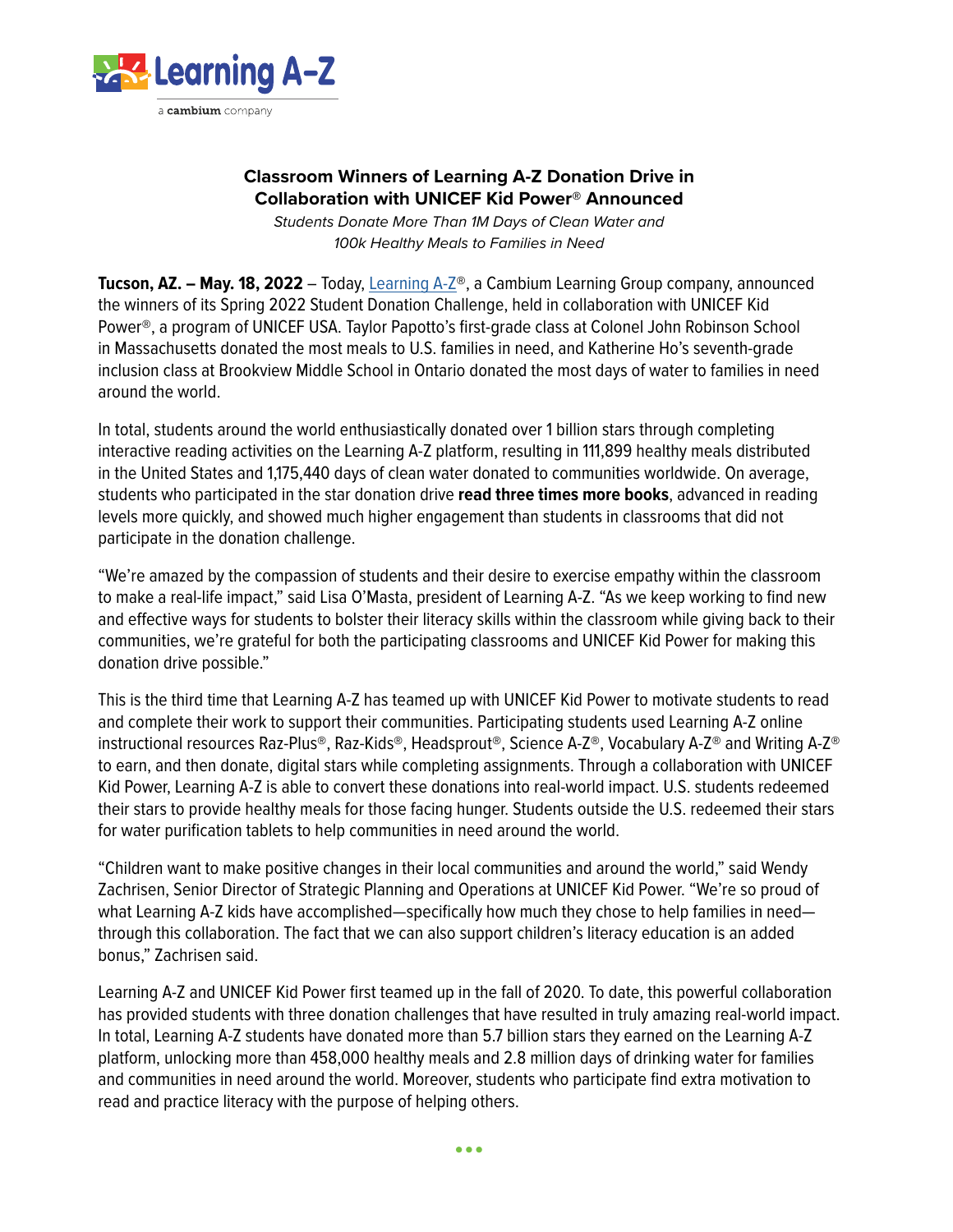

# **Classroom Winners of Learning A-Z Donation Drive in Collaboration with UNICEF Kid Power® Announced**

*Students Donate More Than 1M Days of Clean Water and 100k Healthy Meals to Families in Need*

**Tucson, AZ. – May. 18, 2022** – Today, [Learning A-Z](https://www.learninga-z.com/)®, a Cambium Learning Group company, announced the winners of its Spring 2022 Student Donation Challenge, held in collaboration with UNICEF Kid Power®, a program of UNICEF USA. Taylor Papotto's first-grade class at Colonel John Robinson School in Massachusetts donated the most meals to U.S. families in need, and Katherine Ho's seventh-grade inclusion class at Brookview Middle School in Ontario donated the most days of water to families in need around the world.

In total, students around the world enthusiastically donated over 1 billion stars through completing interactive reading activities on the Learning A-Z platform, resulting in 111,899 healthy meals distributed in the United States and 1,175,440 days of clean water donated to communities worldwide. On average, students who participated in the star donation drive **read three times more books**, advanced in reading levels more quickly, and showed much higher engagement than students in classrooms that did not participate in the donation challenge.

"We're amazed by the compassion of students and their desire to exercise empathy within the classroom to make a real-life impact," said Lisa O'Masta, president of Learning A-Z. "As we keep working to find new and effective ways for students to bolster their literacy skills within the classroom while giving back to their communities, we're grateful for both the participating classrooms and UNICEF Kid Power for making this donation drive possible."

This is the third time that Learning A-Z has teamed up with UNICEF Kid Power to motivate students to read and complete their work to support their communities. Participating students used Learning A-Z online instructional resources Raz-Plus®, Raz-Kids®, Headsprout®, Science A-Z®, Vocabulary A-Z® and Writing A-Z® to earn, and then donate, digital stars while completing assignments. Through a collaboration with UNICEF Kid Power, Learning A-Z is able to convert these donations into real-world impact. U.S. students redeemed their stars to provide healthy meals for those facing hunger. Students outside the U.S. redeemed their stars for water purification tablets to help communities in need around the world.

"Children want to make positive changes in their local communities and around the world," said Wendy Zachrisen, Senior Director of Strategic Planning and Operations at UNICEF Kid Power. "We're so proud of what Learning A-Z kids have accomplished—specifically how much they chose to help families in need through this collaboration. The fact that we can also support children's literacy education is an added bonus," Zachrisen said.

Learning A-Z and UNICEF Kid Power first teamed up in the fall of 2020. To date, this powerful collaboration has provided students with three donation challenges that have resulted in truly amazing real-world impact. In total, Learning A-Z students have donated more than 5.7 billion stars they earned on the Learning A-Z platform, unlocking more than 458,000 healthy meals and 2.8 million days of drinking water for families and communities in need around the world. Moreover, students who participate find extra motivation to read and practice literacy with the purpose of helping others.